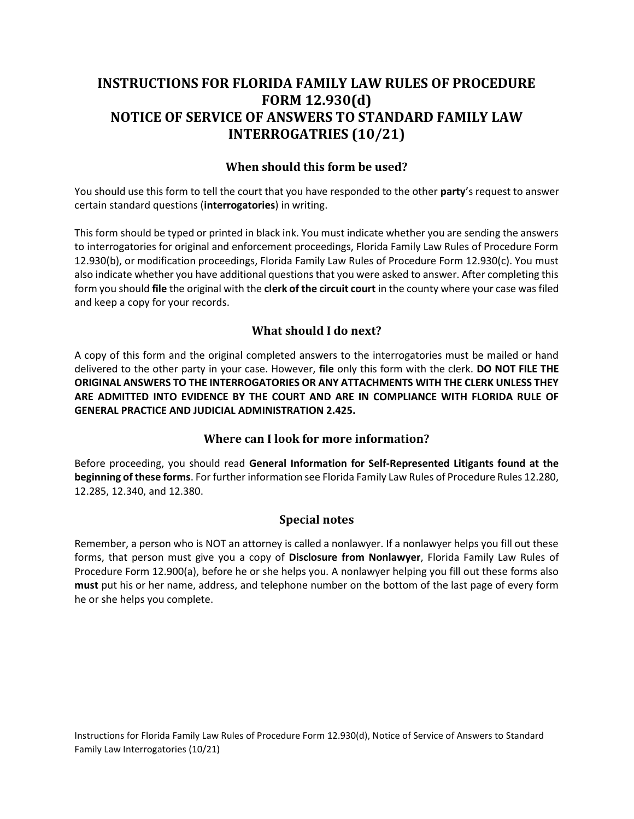## INSTRUCTIONS FOR FLORIDA FAMILY LAW RULES OF PROCEDURE FORM 12.930(d) INTERROGATRIES (10/21) NOTICE OF SERVICE OF ANSWERS TO STANDARD FAMILY LAW

## When should this form be used?

You should use this form to tell the court that you have responded to the other party's request to answer certain standard questions (interrogatories) in writing.

 This form should be typed or printed in black ink. You must indicate whether you are sending the answers 12.930(b), or modification proceedings, Florida Family Law Rules of Procedure Form 12.930(c). You must also indicate whether you have additional questions that you were asked to answer. After completing this form you should file the original with the clerk of the circuit court in the county where your case was filed to interrogatories for original and enforcement proceedings, Florida Family Law Rules of Procedure Form and keep a copy for your records.

## What should I do next?

 A copy of this form and the original completed answers to the interrogatories must be mailed or hand delivered to the other party in your case. However, file only this form with the clerk. DO NOT FILE THE ORIGINAL ANSWERS TO THE INTERROGATORIES OR ANY ATTACHMENTS WITH THE CLERK UNLESS THEY ARE ADMITTED INTO EVIDENCE BY THE COURT AND ARE IN COMPLIANCE WITH FLORIDA RULE OF GENERAL PRACTICE AND JUDICIAL ADMINISTRATION 2.425.

## Where can I look for more information?

Before proceeding, you should read General Information for Self-Represented Litigants found at the beginning of these forms. For further information see Florida Family Law Rules of Procedure Rules 12.280, 12.285, 12.340, and 12.380.

## Special notes

 Remember, a person who is NOT an attorney is called a nonlawyer. If a nonlawyer helps you fill out these forms, that person must give you a copy of Disclosure from Nonlawyer, Florida Family Law Rules of Procedure Form 12.900(a), before he or she helps you. A nonlawyer helping you fill out these forms also must put his or her name, address, and telephone number on the bottom of the last page of every form he or she helps you complete.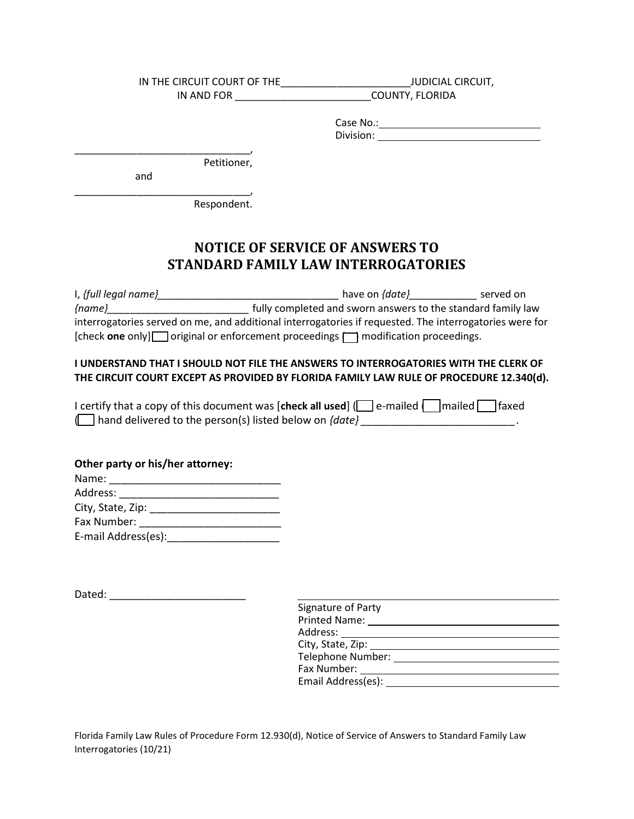IN THE CIRCUIT COURT OF THE\_\_\_\_\_\_\_\_\_\_\_\_\_\_\_\_\_\_\_\_\_\_\_JUDICIAL CIRCUIT, IN AND FOR \_\_\_\_\_\_\_\_\_\_\_\_\_\_\_\_\_\_\_\_\_\_\_\_COUNTY, FLORIDA

> Division: Case No.:

\_\_\_\_\_\_\_\_\_\_\_\_\_\_\_\_\_\_\_\_\_\_\_\_\_\_\_\_\_\_\_, Petitioner,

and

\_\_\_\_\_\_\_\_\_\_\_\_\_\_\_\_\_\_\_\_\_\_\_\_\_\_\_\_\_\_\_, Respondent.

# NOTICE OF SERVICE OF ANSWERS TO STANDARD FAMILY LAW INTERROGATORIES

 interrogatories served on me, and additional interrogatories if requested. The interrogatories were for [check one only] original or enforcement proceedings  $\Box$  modification proceedings. I, {full legal name}\_\_\_\_\_\_\_\_\_\_\_\_\_\_\_\_\_\_\_\_\_\_\_\_\_\_\_\_\_\_\_\_ have on {date}\_\_\_\_\_\_\_\_\_\_\_\_ served on  ${ \n { \n (name)}_{\_\_\_\_\_\_\_\_\_\_\_\_\_\_\_\_\_\_\_\_\_\_}\_}$  fully completed and sworn answers to the standard family law

#### I UNDERSTAND THAT I SHOULD NOT FILE THE ANSWERS TO INTERROGATORIES WITH THE CLERK OF THE CIRCUIT COURT EXCEPT AS PROVIDED BY FLORIDA FAMILY LAW RULE OF PROCEDURE 12.340(d).

| I certify that a copy of this document was [check all used] $\Box$ e-mailed $\Box$ mailed $\Box$ faxed |  |  |
|--------------------------------------------------------------------------------------------------------|--|--|
| $\Box$ hand delivered to the person(s) listed below on {date}                                          |  |  |

#### Other party or his/her attorney:

| Name:               |  |
|---------------------|--|
| Address:            |  |
| City, State, Zip:   |  |
| Fax Number:         |  |
| E-mail Address(es): |  |

Dated: \_\_\_\_\_\_\_\_\_\_\_\_\_\_\_\_\_\_\_\_\_\_\_

| Signature of Party   |
|----------------------|
| <b>Printed Name:</b> |
| Address:             |
| City, State, Zip:    |
| Telephone Number:    |
| Fax Number:          |
| Email Address(es):   |
|                      |

Florida Family Law Rules of Procedure Form 12.930(d), Notice of Service of Answers to Standard Family Law Interrogatories (10/21)